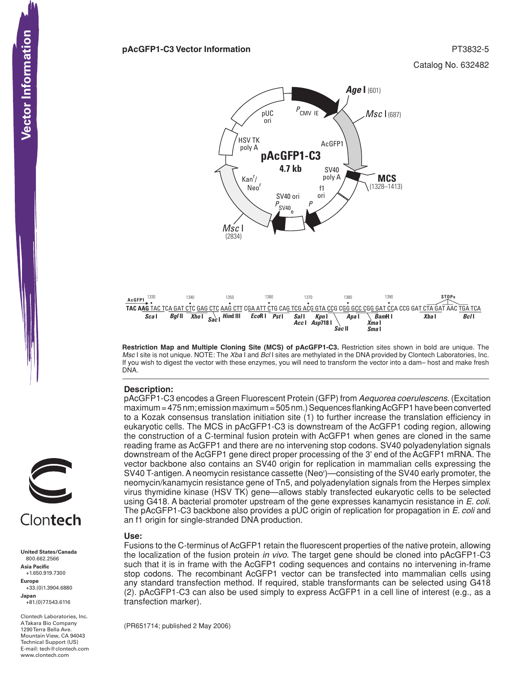Catalog No. 632482



**Restriction Map and Multiple Cloning Site (MCS) of pAcGFP1-C3.** Restriction sites shown in bold are unique. The *Msc* I site is not unique. NOTE: The *Xba* I and *Bcl* I sites are methylated in the DNA provided by Clontech Laboratories, Inc. If you wish to digest the vector with these enzymes, you will need to transform the vector into a dam– host and make fresh DNA.

 *Sac* **II** *Sma* **I**

### **Description:**

1330 • **AcGFP1**

pAcGFP1-C3 encodes a Green Fluorescent Protein (GFP) from *Aequorea coerulescens*. (Excitation maximum = 475 nm; emission maximum = 505 nm.) Sequences flanking AcGFP1 have been converted to a Kozak consensus translation initiation site (1) to further increase the translation efficiency in eukaryotic cells. The MCS in pAcGFP1-C3 is downstream of the AcGFP1 coding region, allowing the construction of a C-terminal fusion protein with AcGFP1 when genes are cloned in the same reading frame as AcGFP1 and there are no intervening stop codons. SV40 polyadenylation signals downstream of the AcGFP1 gene direct proper processing of the 3' end of the AcGFP1 mRNA. The vector backbone also contains an SV40 origin for replication in mammalian cells expressing the SV40 T-antigen. A neomycin resistance cassette (Neor )—consisting of the SV40 early promoter, the neomycin/kanamycin resistance gene of Tn5, and polyadenylation signals from the Herpes simplex virus thymidine kinase (HSV TK) gene—allows stably transfected eukaryotic cells to be selected using G418. A bacterial promoter upstream of the gene expresses kanamycin resistance in *E. coli*. The pAcGFP1-C3 backbone also provides a pUC origin of replication for propagation in *E. coli* and an f1 origin for single-stranded DNA production.

#### **Use:**

Fusions to the C-terminus of AcGFP1 retain the fluorescent properties of the native protein, allowing the localization of the fusion protein *in vivo*. The target gene should be cloned into pAcGFP1-C3 such that it is in frame with the AcGFP1 coding sequences and contains no intervening in-frame stop codons. The recombinant AcGFP1 vector can be transfected into mammalian cells using any standard transfection method. If required, stable transformants can be selected using G418 (2). pAcGFP1-C3 can also be used simply to express AcGFP1 in a cell line of interest (e.g., as a transfection marker).

(PR651714; published 2 May 2006)

**United States/Canada** 800.662.2566 **Asia Pacific** +1.650.919.7300 **Europe** +33.(0)1.3904.6880 **Japan** +81.(0)77.543.6116

Clontech Laboratories, Inc. A Takara Bio Company 1290 Terra Bella Ave. Mountain View, CA 94043 Technical Support (US) E-mail: tech@clontech.com<br>www.clontech.com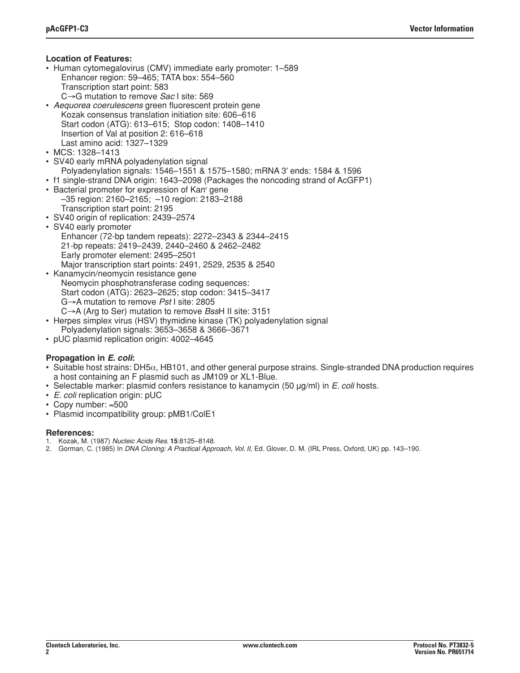## **Location of Features:**

- Human cytomegalovirus (CMV) immediate early promoter: 1–589 Enhancer region: 59–465; TATA box: 554–560 Transcription start point: 583
- C→G mutation to remove *Sac* I site: 569
- *Aequorea coerulescens* green fluorescent protein gene Kozak consensus translation initiation site: 606–616 Start codon (ATG): 613–615; Stop codon: 1408–1410 Insertion of Val at position 2: 616–618 Last amino acid: 1327–1329
- MCS: 1328–1413
- SV40 early mRNA polyadenylation signal Polyadenylation signals: 1546–1551 & 1575–1580; mRNA 3' ends: 1584 & 1596
- f1 single-strand DNA origin: 1643–2098 (Packages the noncoding strand of AcGFP1)
- Bacterial promoter for expression of Kan' gene –35 region: 2160–2165; –10 region: 2183–2188 Transcription start point: 2195
- SV40 origin of replication: 2439–2574
- SV40 early promoter Enhancer (72-bp tandem repeats): 2272–2343 & 2344–2415 21-bp repeats: 2419–2439, 2440–2460 & 2462–2482 Early promoter element: 2495–2501 Major transcription start points: 2491, 2529, 2535 & 2540
- Kanamycin/neomycin resistance gene Neomycin phosphotransferase coding sequences: Start codon (ATG): 2623–2625; stop codon: 3415–3417 G→A mutation to remove *Pst* I site: 2805 C→A (Arg to Ser) mutation to remove *Bss*H II site: 3151
- Herpes simplex virus (HSV) thymidine kinase (TK) polyadenylation signal Polyadenylation signals: 3653–3658 & 3666–3671
- pUC plasmid replication origin: 4002–4645

# **Propagation in** *E. coli***:**

- Suitable host strains: DH5 $\alpha$ , HB101, and other general purpose strains. Single-stranded DNA production requires a host containing an F plasmid such as JM109 or XL1-Blue.
- Selectable marker: plasmid confers resistance to kanamycin (50 µg/ml) in *E. coli* hosts.
- *E. coli* replication origin: pUC
- Copy number: ≈500
- Plasmid incompatibility group: pMB1/ColE1

### **References:**

- 1. Kozak, M. (1987) *Nucleic Acids Res.* **15**:8125–8148.
- 2. Gorman, C. (1985) In *DNA Cloning: A Practical Approach, Vol. II,* Ed. Glover, D. M. (IRL Press, Oxford, UK) pp. 143–190.